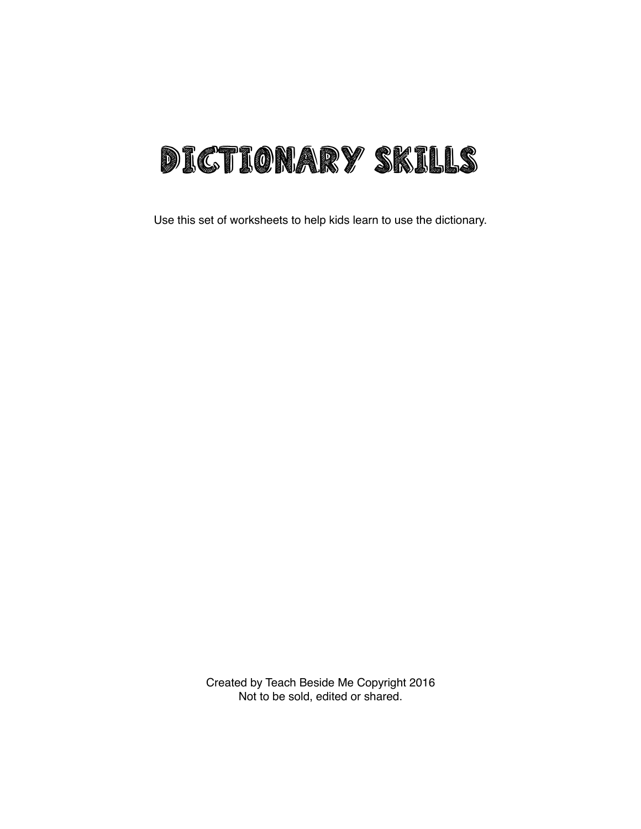

Use this set of worksheets to help kids learn to use the dictionary.

Created by Teach Beside Me Copyright 2016 Not to be sold, edited or shared.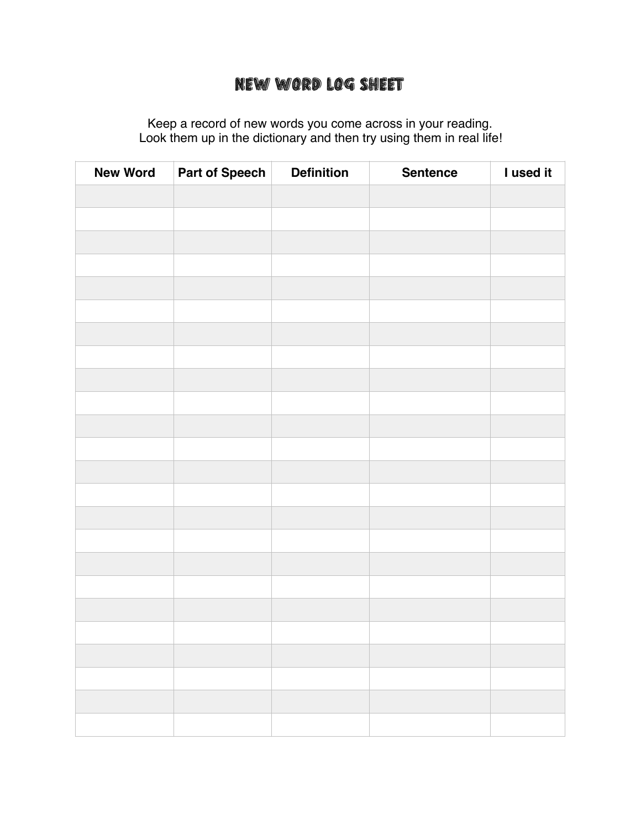## New Word Log Sheet

Keep a record of new words you come across in your reading. Look them up in the dictionary and then try using them in real life!

| <b>New Word</b> | Part of Speech | <b>Definition</b> | <b>Sentence</b> | I used it |
|-----------------|----------------|-------------------|-----------------|-----------|
|                 |                |                   |                 |           |
|                 |                |                   |                 |           |
|                 |                |                   |                 |           |
|                 |                |                   |                 |           |
|                 |                |                   |                 |           |
|                 |                |                   |                 |           |
|                 |                |                   |                 |           |
|                 |                |                   |                 |           |
|                 |                |                   |                 |           |
|                 |                |                   |                 |           |
|                 |                |                   |                 |           |
|                 |                |                   |                 |           |
|                 |                |                   |                 |           |
|                 |                |                   |                 |           |
|                 |                |                   |                 |           |
|                 |                |                   |                 |           |
|                 |                |                   |                 |           |
|                 |                |                   |                 |           |
|                 |                |                   |                 |           |
|                 |                |                   |                 |           |
|                 |                |                   |                 |           |
|                 |                |                   |                 |           |
|                 |                |                   |                 |           |
|                 |                |                   |                 |           |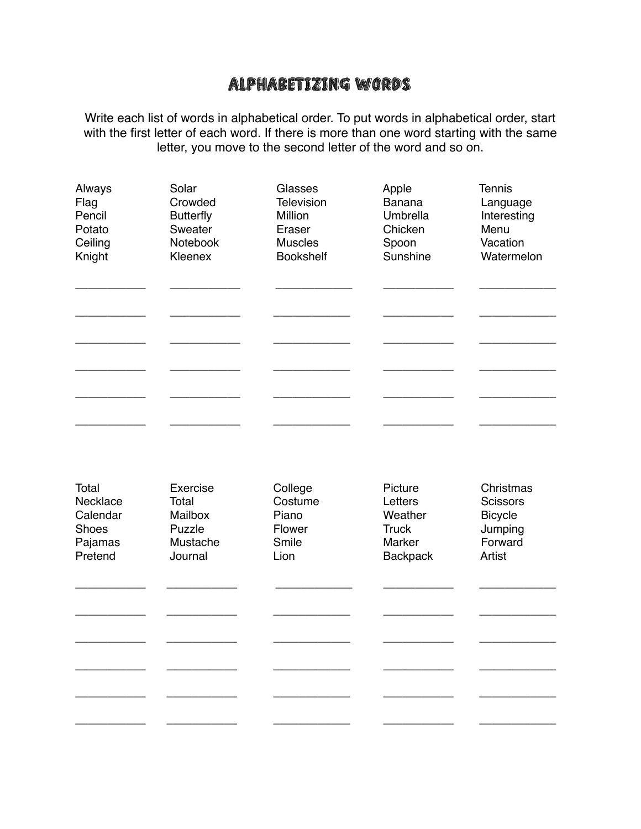## Alphabetizing Words

Write each list of words in alphabetical order. To put words in alphabetical order, start with the first letter of each word. If there is more than one word starting with the same letter, you move to the second letter of the word and so on.

| Always   | Solar            | Glasses           | Apple           | <b>Tennis</b>   |
|----------|------------------|-------------------|-----------------|-----------------|
| Flag     | Crowded          | <b>Television</b> | <b>Banana</b>   | Language        |
| Pencil   | <b>Butterfly</b> | Million           | Umbrella        | Interesting     |
| Potato   | Sweater          | Eraser            | Chicken         | Menu            |
| Ceiling  | Notebook         | <b>Muscles</b>    | Spoon           | Vacation        |
| Knight   | Kleenex          | <b>Bookshelf</b>  | Sunshine        | Watermelon      |
| Total    | Exercise         | College           | Picture         | Christmas       |
| Necklace | Total            | Costume           | Letters         | <b>Scissors</b> |
| Calendar | Mailbox          | Piano             | Weather         | <b>Bicycle</b>  |
| Shoes    | Puzzle           | Flower            | <b>Truck</b>    | Jumping         |
| Pajamas  | Mustache         | Smile             | Marker          | Forward         |
| Pretend  | Journal          | Lion              | <b>Backpack</b> | Artist          |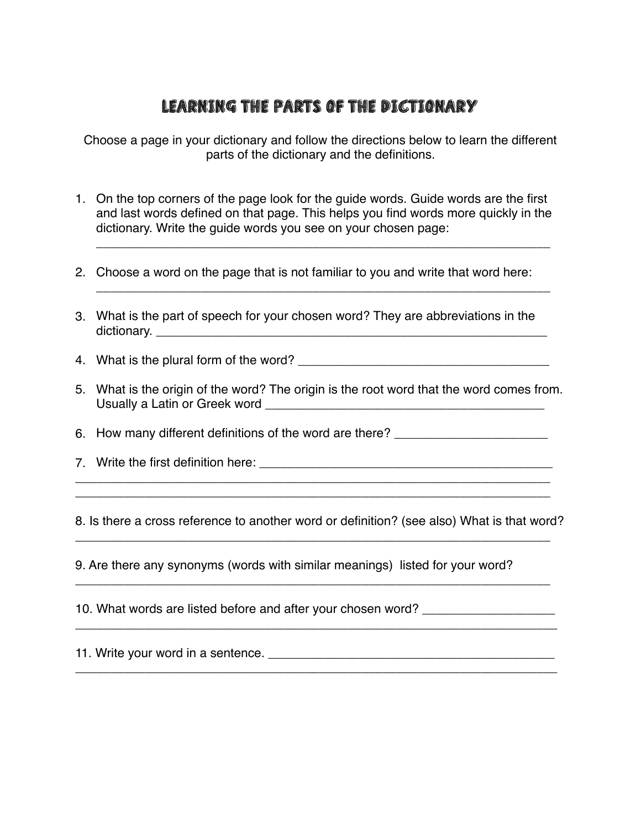## Learning The Parts of the Dictionary

Choose a page in your dictionary and follow the directions below to learn the different parts of the dictionary and the definitions.

1. On the top corners of the page look for the guide words. Guide words are the first and last words defined on that page. This helps you find words more quickly in the dictionary. Write the guide words you see on your chosen page:

\_\_\_\_\_\_\_\_\_\_\_\_\_\_\_\_\_\_\_\_\_\_\_\_\_\_\_\_\_\_\_\_\_\_\_\_\_\_\_\_\_\_\_\_\_\_\_\_\_\_\_\_\_\_\_\_\_\_\_\_\_\_\_\_\_

\_\_\_\_\_\_\_\_\_\_\_\_\_\_\_\_\_\_\_\_\_\_\_\_\_\_\_\_\_\_\_\_\_\_\_\_\_\_\_\_\_\_\_\_\_\_\_\_\_\_\_\_\_\_\_\_\_\_\_\_\_\_\_\_\_

- 2. Choose a word on the page that is not familiar to you and write that word here:
- 3. What is the part of speech for your chosen word? They are abbreviations in the dictionary. \_\_\_\_\_\_\_\_\_\_\_\_\_\_\_\_\_\_\_\_\_\_\_\_\_\_\_\_\_\_\_\_\_\_\_\_\_\_\_\_\_\_\_\_\_\_\_\_\_\_\_\_\_\_\_\_

4. What is the plural form of the word? \_\_\_\_\_\_\_\_\_\_\_\_\_\_\_\_\_\_\_\_\_\_\_\_\_\_\_\_\_\_\_\_\_\_\_\_

5. What is the origin of the word? The origin is the root word that the word comes from. Usually a Latin or Greek word \_\_\_\_\_\_\_\_\_\_\_\_\_\_\_\_\_\_\_\_\_\_\_\_\_\_\_\_\_\_\_\_\_\_\_\_\_\_\_\_

6. How many different definitions of the word are there?

7. Write the first definition here: \_\_\_\_\_\_\_\_\_\_\_\_\_\_\_\_\_\_\_\_\_\_\_\_\_\_\_\_\_\_\_\_\_\_\_\_\_\_\_\_\_\_

8. Is there a cross reference to another word or definition? (see also) What is that word?

\_\_\_\_\_\_\_\_\_\_\_\_\_\_\_\_\_\_\_\_\_\_\_\_\_\_\_\_\_\_\_\_\_\_\_\_\_\_\_\_\_\_\_\_\_\_\_\_\_\_\_\_\_\_\_\_\_\_\_\_\_\_\_\_\_\_\_\_

\_\_\_\_\_\_\_\_\_\_\_\_\_\_\_\_\_\_\_\_\_\_\_\_\_\_\_\_\_\_\_\_\_\_\_\_\_\_\_\_\_\_\_\_\_\_\_\_\_\_\_\_\_\_\_\_\_\_\_\_\_\_\_\_\_\_\_\_

\_\_\_\_\_\_\_\_\_\_\_\_\_\_\_\_\_\_\_\_\_\_\_\_\_\_\_\_\_\_\_\_\_\_\_\_\_\_\_\_\_\_\_\_\_\_\_\_\_\_\_\_\_\_\_\_\_\_\_\_\_\_\_\_\_\_\_\_\_

\_\_\_\_\_\_\_\_\_\_\_\_\_\_\_\_\_\_\_\_\_\_\_\_\_\_\_\_\_\_\_\_\_\_\_\_\_\_\_\_\_\_\_\_\_\_\_\_\_\_\_\_\_\_\_\_\_\_\_\_\_\_\_\_\_\_\_\_\_

\_\_\_\_\_\_\_\_\_\_\_\_\_\_\_\_\_\_\_\_\_\_\_\_\_\_\_\_\_\_\_\_\_\_\_\_\_\_\_\_\_\_\_\_\_\_\_\_\_\_\_\_\_\_\_\_\_\_\_\_\_\_\_\_\_\_\_\_ \_\_\_\_\_\_\_\_\_\_\_\_\_\_\_\_\_\_\_\_\_\_\_\_\_\_\_\_\_\_\_\_\_\_\_\_\_\_\_\_\_\_\_\_\_\_\_\_\_\_\_\_\_\_\_\_\_\_\_\_\_\_\_\_\_\_\_\_

9. Are there any synonyms (words with similar meanings) listed for your word?

10. What words are listed before and after your chosen word?

11. Write your word in a sentence. \_\_\_\_\_\_\_\_\_\_\_\_\_\_\_\_\_\_\_\_\_\_\_\_\_\_\_\_\_\_\_\_\_\_\_\_\_\_\_\_\_